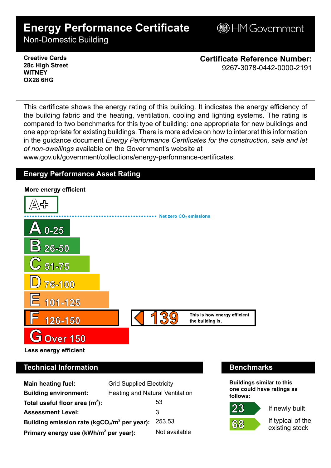# **Energy Performance Certificate**

**BHM Government** 

Non-Domestic Building

### **Creative Cards 28c High Street WITNEY OX28 6HG**

**Certificate Reference Number:** 9267-3078-0442-0000-2191

This certificate shows the energy rating of this building. It indicates the energy efficiency of the building fabric and the heating, ventilation, cooling and lighting systems. The rating is compared to two benchmarks for this type of building: one appropriate for new buildings and one appropriate for existing buildings. There is more advice on how to interpret this information in the guidance document *Energy Performance Certificates for the construction, sale and let of non-dwellings* available on the Government's website at

www.gov.uk/government/collections/energy-performance-certificates.

# **Energy Performance Asset Rating**



# **Technical Information Benchmarks**

| <b>Main heating fuel:</b>                         | <b>Grid Supplied Electricity</b>       |               |
|---------------------------------------------------|----------------------------------------|---------------|
| <b>Building environment:</b>                      | <b>Heating and Natural Ventilation</b> |               |
| Total useful floor area $(m2)$ :                  |                                        | 53            |
| <b>Assessment Level:</b>                          |                                        | 3             |
| Building emission rate ( $kgCO2/m2$ per year):    |                                        | 253.53        |
| Primary energy use (kWh/m <sup>2</sup> per year): |                                        | Not available |

**Buildings similar to this one could have ratings as follows:**



If newly built

If typical of the existing stock